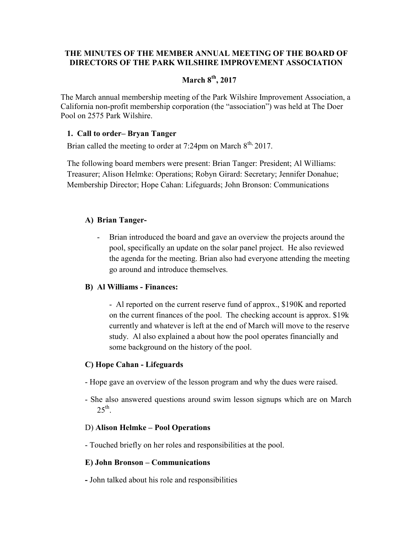### THE MINUTES OF THE MEMBER ANNUAL MEETING OF THE BOARD OF DIRECTORS OF THE PARK WILSHIRE IMPROVEMENT ASSOCIATION

# March  $8<sup>th</sup>$ , 2017

The March annual membership meeting of the Park Wilshire Improvement Association, a California non-profit membership corporation (the "association") was held at The Doer Pool on 2575 Park Wilshire.

#### 1. Call to order– Bryan Tanger

Brian called the meeting to order at 7:24pm on March  $8<sup>th</sup>$ , 2017.

The following board members were present: Brian Tanger: President; Al Williams: Treasurer; Alison Helmke: Operations; Robyn Girard: Secretary; Jennifer Donahue; Membership Director; Hope Cahan: Lifeguards; John Bronson: Communications

#### A) Brian Tanger-

Brian introduced the board and gave an overview the projects around the pool, specifically an update on the solar panel project. He also reviewed the agenda for the meeting. Brian also had everyone attending the meeting go around and introduce themselves.

#### B) Al Williams - Finances:

- Al reported on the current reserve fund of approx., \$190K and reported on the current finances of the pool. The checking account is approx. \$19k currently and whatever is left at the end of March will move to the reserve study. Al also explained a about how the pool operates financially and some background on the history of the pool.

#### C) Hope Cahan - Lifeguards

- Hope gave an overview of the lesson program and why the dues were raised.
- She also answered questions around swim lesson signups which are on March  $25<sup>th</sup>$ .

#### D) Alison Helmke – Pool Operations

- Touched briefly on her roles and responsibilities at the pool.

#### E) John Bronson – Communications

- John talked about his role and responsibilities